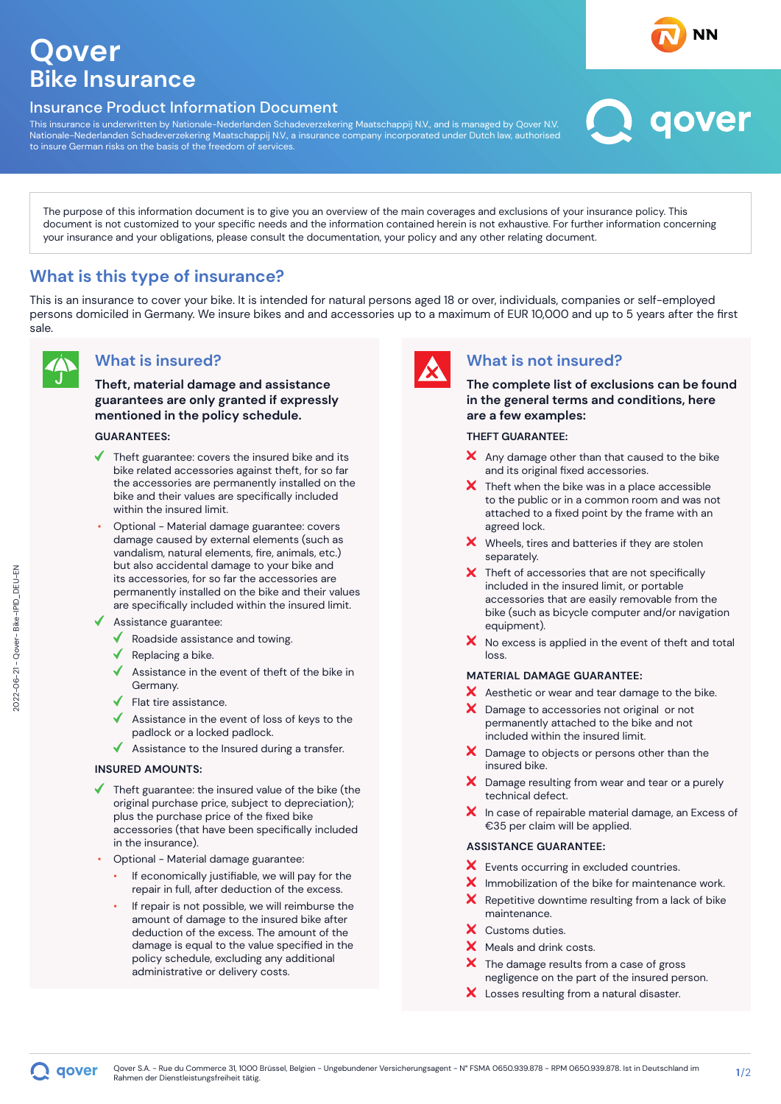# **Qover Bike Insurance**

### Insurance Product Information Document

This insurance is underwritten by Nationale-Nederlanden Schadeverzekering Maatschappij N.V., and is managed by Qover N.V. Nationale-Nederlanden Schadeverzekering Maatschappij N.V., a insurance company incorporated under Dutch law, authorised to insure German risks on the basis of the freedom of services.



The purpose of this information document is to give you an overview of the main coverages and exclusions of your insurance policy. This document is not customized to your specific needs and the information contained herein is not exhaustive. For further information concerning your insurance and your obligations, please consult the documentation, your policy and any other relating document.

## **What is this type of insurance?**

This is an insurance to cover your bike. It is intended for natural persons aged 18 or over, individuals, companies or self-employed persons domiciled in Germany. We insure bikes and and accessories up to a maximum of EUR 10,000 and up to 5 years after the first sale.



### **What is insured?**

**Theft, material damage and assistance guarantees are only granted if expressly mentioned in the policy schedule.**

### **GUARANTEES:**

- Theft guarantee: covers the insured bike and its bike related accessories against theft, for so far the accessories are permanently installed on the bike and their values are specifically included within the insured limit.
- Optional Material damage guarantee: covers damage caused by external elements (such as vandalism, natural elements, fire, animals, etc.) but also accidental damage to your bike and its accessories, for so far the accessories are permanently installed on the bike and their values are specifically included within the insured limit.
- Assistance guarantee:
	- Roadside assistance and towing.
	- Replacing a bike.
	- Assistance in the event of theft of the bike in Germany.
	- Flat tire assistance.
	- Assistance in the event of loss of keys to the padlock or a locked padlock.
	- Assistance to the Insured during a transfer.

#### **INSURED AMOUNTS:**

- Theft guarantee: the insured value of the bike (the original purchase price, subject to depreciation); plus the purchase price of the fixed bike accessories (that have been specifically included in the insurance).
- Optional Material damage guarantee:
	- If economically justifiable, we will pay for the repair in full, after deduction of the excess.
	- If repair is not possible, we will reimburse the amount of damage to the insured bike after deduction of the excess. The amount of the damage is equal to the value specified in the policy schedule, excluding any additional administrative or delivery costs.



### **What is not insured?**

**The complete list of exclusions can be found in the general terms and conditions, here are a few examples:**

#### **THEFT GUARANTEE:**

- $\mathsf{\times}$  Any damage other than that caused to the bike and its original fixed accessories.
- $\bm{X}$  Theft when the bike was in a place accessible to the public or in a common room and was not attached to a fixed point by the frame with an agreed lock.
- X Wheels, tires and batteries if they are stolen separately.
- X Theft of accessories that are not specifically included in the insured limit, or portable accessories that are easily removable from the bike (such as bicycle computer and/or navigation equipment).
- $\boldsymbol{\times}$  No excess is applied in the event of theft and total loss.

#### **MATERIAL DAMAGE GUARANTEE:**

- X Aesthetic or wear and tear damage to the bike.
- X Damage to accessories not original or not permanently attached to the bike and not included within the insured limit.
- X Damage to objects or persons other than the insured bike.
- X Damage resulting from wear and tear or a purely technical defect.
- $\boldsymbol{X}$  In case of repairable material damage, an Excess of €35 per claim will be applied.

#### **ASSISTANCE GUARANTEE:**

- X Events occurring in excluded countries.
- $\boldsymbol{X}$  Immobilization of the bike for maintenance work.
- $\mathsf{x}$ Repetitive downtime resulting from a lack of bike maintenance.
- X Customs duties.
- X Meals and drink costs.
- $\boldsymbol{\times}$  The damage results from a case of gross negligence on the part of the insured person.
- X Losses resulting from a natural disaster.